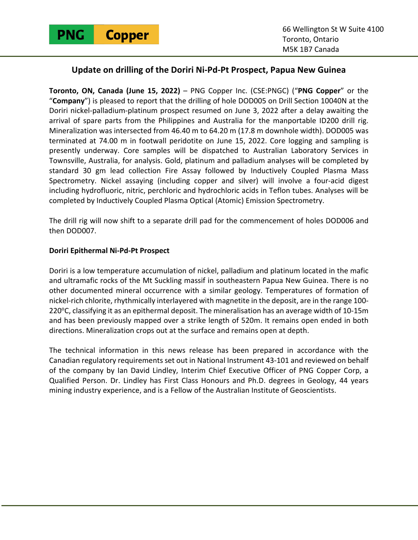# **Update on drilling of the Doriri Ni-Pd-Pt Prospect, Papua New Guinea**

**Toronto, ON, Canada (June 15, 2022)** – PNG Copper Inc. (CSE:PNGC) ("**PNG Copper**" or the "**Company**") is pleased to report that the drilling of hole DOD005 on Drill Section 10040N at the Doriri nickel-palladium-platinum prospect resumed on June 3, 2022 after a delay awaiting the arrival of spare parts from the Philippines and Australia for the manportable ID200 drill rig. Mineralization was intersected from 46.40 m to 64.20 m (17.8 m downhole width). DOD005 was terminated at 74.00 m in footwall peridotite on June 15, 2022. Core logging and sampling is presently underway. Core samples will be dispatched to Australian Laboratory Services in Townsville, Australia, for analysis. Gold, platinum and palladium analyses will be completed by standard 30 gm lead collection Fire Assay followed by Inductively Coupled Plasma Mass Spectrometry. Nickel assaying (including copper and silver) will involve a four-acid digest including hydrofluoric, nitric, perchloric and hydrochloric acids in Teflon tubes. Analyses will be completed by Inductively Coupled Plasma Optical (Atomic) Emission Spectrometry.

The drill rig will now shift to a separate drill pad for the commencement of holes DOD006 and then DOD007.

### **Doriri Epithermal Ni-Pd-Pt Prospect**

Doriri is a low temperature accumulation of nickel, palladium and platinum located in the mafic and ultramafic rocks of the Mt Suckling massif in southeastern Papua New Guinea. There is no other documented mineral occurrence with a similar geology. Temperatures of formation of nickel-rich chlorite, rhythmically interlayered with magnetite in the deposit, are in the range 100-  $220^{\circ}$ C, classifying it as an epithermal deposit. The mineralisation has an average width of 10-15m and has been previously mapped over a strike length of 520m. It remains open ended in both directions. Mineralization crops out at the surface and remains open at depth.

The technical information in this news release has been prepared in accordance with the Canadian regulatory requirements set out in National Instrument 43-101 and reviewed on behalf of the company by Ian David Lindley, Interim Chief Executive Officer of PNG Copper Corp, a Qualified Person. Dr. Lindley has First Class Honours and Ph.D. degrees in Geology, 44 years mining industry experience, and is a Fellow of the Australian Institute of Geoscientists.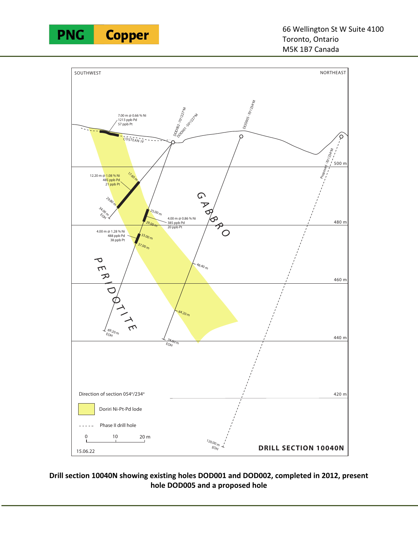



**Drill section 10040N showing existing holes DOD001 and DOD002, completed in 2012, present hole DOD005 and a proposed hole**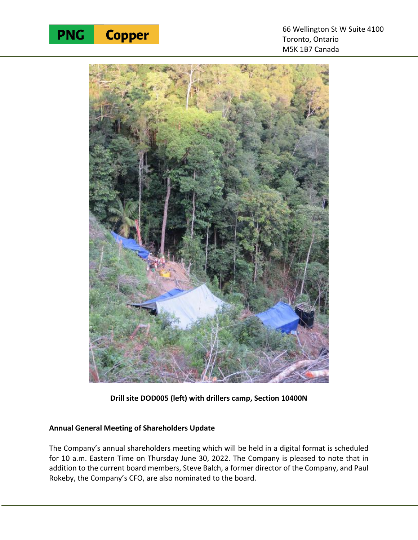



**Drill site DOD005 (left) with drillers camp, Section 10400N**

## **Annual General Meeting of Shareholders Update**

The Company's annual shareholders meeting which will be held in a digital format is scheduled for 10 a.m. Eastern Time on Thursday June 30, 2022. The Company is pleased to note that in addition to the current board members, Steve Balch, a former director of the Company, and Paul Rokeby, the Company's CFO, are also nominated to the board.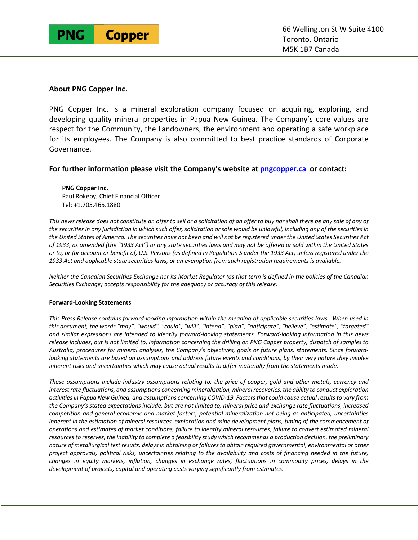

### **About PNG Copper Inc.**

PNG Copper Inc. is a mineral exploration company focused on acquiring, exploring, and developing quality mineral properties in Papua New Guinea. The Company's core values are respect for the Community, the Landowners, the environment and operating a safe workplace for its employees. The Company is also committed to best practice standards of Corporate Governance.

### **For further information please visit the Company's website at pngcopper.ca or contact:**

**PNG Copper Inc.**  Paul Rokeby, Chief Financial Officer Tel: +1.705.465.1880

*This news release does not constitute an offer to sell or a solicitation of an offer to buy nor shall there be any sale of any of the securities in any jurisdiction in which such offer, solicitation or sale would be unlawful, including any of the securities in the United States of America. The securities have not been and will not be registered under the United States Securities Act of 1933, as amended (the "1933 Act") or any state securities laws and may not be offered or sold within the United States or to, or for account or benefit of, U.S. Persons (as defined in Regulation S under the 1933 Act) unless registered under the 1933 Act and applicable state securities laws, or an exemption from such registration requirements is available.*

*Neither the Canadian Securities Exchange nor its Market Regulator (as that term is defined in the policies of the Canadian Securities Exchange) accepts responsibility for the adequacy or accuracy of this release.*

#### **Forward-Looking Statements**

*This Press Release contains forward-looking information within the meaning of applicable securities laws. When used in this document, the words "may", "would", "could", "will", "intend", "plan", "anticipate", "believe", "estimate", "targeted" and similar expressions are intended to identify forward-looking statements. Forward-looking information in this news release includes, but is not limited to, information concerning the drilling on PNG Copper property, dispatch of samples to Australia, procedures for mineral analyses, the Company's objectives, goals or future plans, statements. Since forwardlooking statements are based on assumptions and address future events and conditions, by their very nature they involve inherent risks and uncertainties which may cause actual results to differ materially from the statements made.*

*These assumptions include industry assumptions relating to, the price of copper, gold and other metals, currency and interest rate fluctuations, and assumptions concerning mineralization, mineral recoveries, the ability to conduct exploration activities in Papua New Guinea, and assumptions concerning COVID-19. Factors that could cause actual results to vary from the Company's stated expectations include, but are not limited to, mineral price and exchange rate fluctuations, increased competition and general economic and market factors, potential mineralization not being as anticipated, uncertainties inherent in the estimation of mineral resources, exploration and mine development plans, timing of the commencement of operations and estimates of market conditions, failure to identify mineral resources, failure to convert estimated mineral resources to reserves, the inability to complete a feasibility study which recommends a production decision, the preliminary nature of metallurgical test results, delays in obtaining or failures to obtain required governmental, environmental or other project approvals, political risks, uncertainties relating to the availability and costs of financing needed in the future, changes in equity markets, inflation, changes in exchange rates, fluctuations in commodity prices, delays in the development of projects, capital and operating costs varying significantly from estimates.*